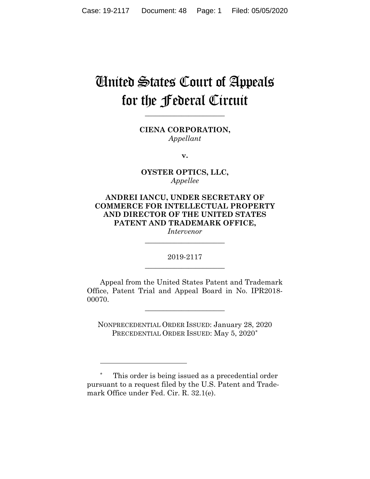# United States Court of Appeals for the Federal Circuit

**CIENA CORPORATION,** *Appellant*

**\_\_\_\_\_\_\_\_\_\_\_\_\_\_\_\_\_\_\_\_\_\_**

**v.**

**OYSTER OPTICS, LLC,** *Appellee*

## **ANDREI IANCU, UNDER SECRETARY OF COMMERCE FOR INTELLECTUAL PROPERTY AND DIRECTOR OF THE UNITED STATES PATENT AND TRADEMARK OFFICE,**

*Intervenor* **\_\_\_\_\_\_\_\_\_\_\_\_\_\_\_\_\_\_\_\_\_\_**

2019-2117 **\_\_\_\_\_\_\_\_\_\_\_\_\_\_\_\_\_\_\_\_\_\_**

Appeal from the United States Patent and Trademark Office, Patent Trial and Appeal Board in No. IPR2018- 00070.

**\_\_\_\_\_\_\_\_\_\_\_\_\_\_\_\_\_\_\_\_\_\_**

NONPRECEDENTIAL ORDER ISSUED: January 28, 2020 PRECEDENTIAL ORDER ISSUED: May 5, 2020[\\*](#page-0-0)

<span id="page-0-0"></span>\* This order is being issued as a precedential order pursuant to a request filed by the U.S. Patent and Trademark Office under Fed. Cir. R. 32.1(e).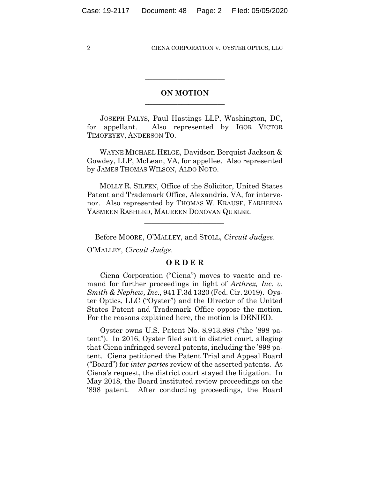## **ON MOTION**  $\overline{\phantom{a}}$  , where  $\overline{\phantom{a}}$  , where  $\overline{\phantom{a}}$  , where  $\overline{\phantom{a}}$

 $\overline{\phantom{a}}$  , where  $\overline{\phantom{a}}$  , where  $\overline{\phantom{a}}$  , where  $\overline{\phantom{a}}$ 

JOSEPH PALYS, Paul Hastings LLP, Washington, DC, for appellant. Also represented by IGOR VICTOR TIMOFEYEV, ANDERSON TO.

 WAYNE MICHAEL HELGE, Davidson Berquist Jackson & Gowdey, LLP, McLean, VA, for appellee. Also represented by JAMES THOMAS WILSON, ALDO NOTO.

 MOLLY R. SILFEN, Office of the Solicitor, United States Patent and Trademark Office, Alexandria, VA, for intervenor. Also represented by THOMAS W. KRAUSE, FARHEENA YASMEEN RASHEED, MAUREEN DONOVAN QUELER.

Before MOORE, O'MALLEY, and STOLL, *Circuit Judges*.

 $\mathcal{L}_\text{max}$  and  $\mathcal{L}_\text{max}$  and  $\mathcal{L}_\text{max}$  and  $\mathcal{L}_\text{max}$ 

O'MALLEY, *Circuit Judge*.

## **O R D E R**

Ciena Corporation ("Ciena") moves to vacate and remand for further proceedings in light of *Arthrex, Inc. v. Smith & Nephew, Inc*., 941 F.3d 1320 (Fed. Cir. 2019). Oyster Optics, LLC ("Oyster") and the Director of the United States Patent and Trademark Office oppose the motion. For the reasons explained here, the motion is DENIED.

Oyster owns U.S. Patent No. 8,913,898 ("the '898 patent"). In 2016, Oyster filed suit in district court, alleging that Ciena infringed several patents, including the '898 patent. Ciena petitioned the Patent Trial and Appeal Board ("Board") for *inter partes* review of the asserted patents. At Ciena's request, the district court stayed the litigation. In May 2018, the Board instituted review proceedings on the '898 patent. After conducting proceedings, the Board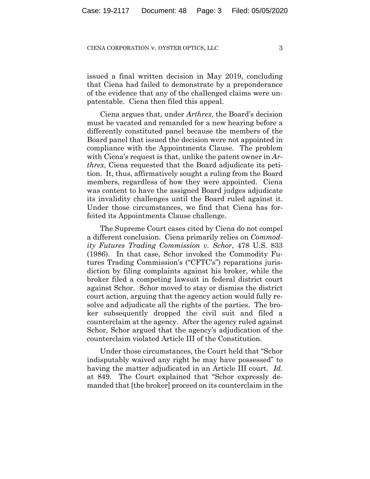issued a final written decision in May 2019, concluding that Ciena had failed to demonstrate by a preponderance of the evidence that any of the challenged claims were unpatentable. Ciena then filed this appeal.

Ciena argues that, under *Arthrex*, the Board's decision must be vacated and remanded for a new hearing before a differently constituted panel because the members of the Board panel that issued the decision were not appointed in compliance with the Appointments Clause. The problem with Ciena's request is that, unlike the patent owner in *Arthrex*, Ciena requested that the Board adjudicate its petition. It, thus, affirmatively sought a ruling from the Board members, regardless of how they were appointed. Ciena was content to have the assigned Board judges adjudicate its invalidity challenges until the Board ruled against it. Under those circumstances, we find that Ciena has forfeited its Appointments Clause challenge.

The Supreme Court cases cited by Ciena do not compel a different conclusion. Ciena primarily relies on *Commodity Futures Trading Commission v. Schor*, 478 U.S. 833 (1986). In that case, Schor invoked the Commodity Futures Trading Commission's ("CFTC's") reparations jurisdiction by filing complaints against his broker, while the broker filed a competing lawsuit in federal district court against Schor. Schor moved to stay or dismiss the district court action, arguing that the agency action would fully resolve and adjudicate all the rights of the parties. The broker subsequently dropped the civil suit and filed a counterclaim at the agency. After the agency ruled against Schor, Schor argued that the agency's adjudication of the counterclaim violated Article III of the Constitution.

Under those circumstances, the Court held that "Schor indisputably waived any right he may have possessed" to having the matter adjudicated in an Article III court. *Id.* at 849. The Court explained that "Schor expressly demanded that [the broker] proceed on its counterclaim in the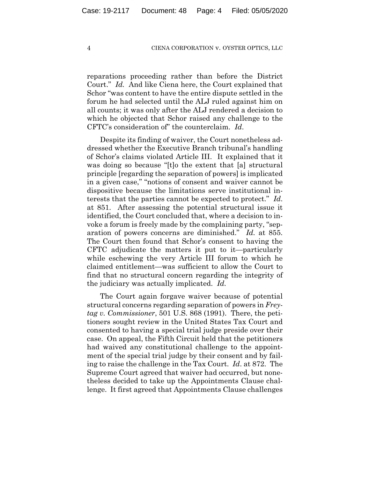reparations proceeding rather than before the District Court." *Id.* And like Ciena here, the Court explained that Schor "was content to have the entire dispute settled in the forum he had selected until the ALJ ruled against him on all counts; it was only after the ALJ rendered a decision to which he objected that Schor raised any challenge to the CFTC's consideration of" the counterclaim. *Id*.

Despite its finding of waiver, the Court nonetheless addressed whether the Executive Branch tribunal's handling of Schor's claims violated Article III. It explained that it was doing so because "[t]o the extent that [a] structural principle [regarding the separation of powers] is implicated in a given case," "notions of consent and waiver cannot be dispositive because the limitations serve institutional interests that the parties cannot be expected to protect." *Id*. at 851. After assessing the potential structural issue it identified, the Court concluded that, where a decision to invoke a forum is freely made by the complaining party, "separation of powers concerns are diminished." *Id.* at 855. The Court then found that Schor's consent to having the CFTC adjudicate the matters it put to it—particularly while eschewing the very Article III forum to which he claimed entitlement—was sufficient to allow the Court to find that no structural concern regarding the integrity of the judiciary was actually implicated. *Id.*

The Court again forgave waiver because of potential structural concerns regarding separation of powers in *Freytag v. Commissioner*, 501 U.S. 868 (1991). There, the petitioners sought review in the United States Tax Court and consented to having a special trial judge preside over their case. On appeal, the Fifth Circuit held that the petitioners had waived any constitutional challenge to the appointment of the special trial judge by their consent and by failing to raise the challenge in the Tax Court. *Id*. at 872. The Supreme Court agreed that waiver had occurred, but nonetheless decided to take up the Appointments Clause challenge. It first agreed that Appointments Clause challenges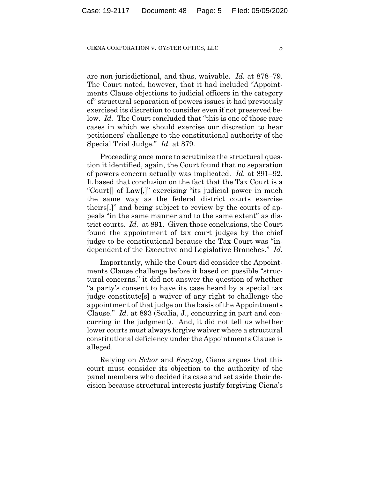are non-jurisdictional, and thus, waivable. *Id.* at 878–79. The Court noted, however, that it had included "Appointments Clause objections to judicial officers in the category of" structural separation of powers issues it had previously exercised its discretion to consider even if not preserved below. *Id.* The Court concluded that "this is one of those rare" cases in which we should exercise our discretion to hear petitioners' challenge to the constitutional authority of the Special Trial Judge." *Id.* at 879.

Proceeding once more to scrutinize the structural question it identified, again, the Court found that no separation of powers concern actually was implicated. *Id.* at 891–92. It based that conclusion on the fact that the Tax Court is a "Court[] of Law[,]" exercising "its judicial power in much the same way as the federal district courts exercise theirs[,]" and being subject to review by the courts of appeals "in the same manner and to the same extent" as district courts. *Id.* at 891. Given those conclusions, the Court found the appointment of tax court judges by the chief judge to be constitutional because the Tax Court was "independent of the Executive and Legislative Branches." *Id.*

Importantly, while the Court did consider the Appointments Clause challenge before it based on possible "structural concerns," it did not answer the question of whether "a party's consent to have its case heard by a special tax judge constitute[s] a waiver of any right to challenge the appointment of that judge on the basis of the Appointments Clause." *Id.* at 893 (Scalia, J., concurring in part and concurring in the judgment). And, it did not tell us whether lower courts must always forgive waiver where a structural constitutional deficiency under the Appointments Clause is alleged.

Relying on *Schor* and *Freytag*, Ciena argues that this court must consider its objection to the authority of the panel members who decided its case and set aside their decision because structural interests justify forgiving Ciena's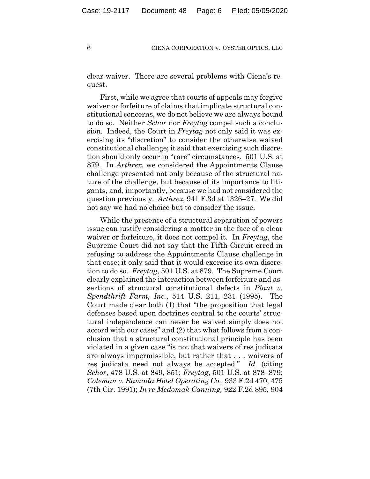clear waiver. There are several problems with Ciena's request.

First, while we agree that courts of appeals may forgive waiver or forfeiture of claims that implicate structural constitutional concerns, we do not believe we are always bound to do so. Neither *Schor* nor *Freytag* compel such a conclusion. Indeed, the Court in *Freytag* not only said it was exercising its "discretion" to consider the otherwise waived constitutional challenge; it said that exercising such discretion should only occur in "rare" circumstances. 501 U.S. at 879. In *Arthrex*, we considered the Appointments Clause challenge presented not only because of the structural nature of the challenge, but because of its importance to litigants, and, importantly, because we had not considered the question previously. *Arthrex*, 941 F.3d at 1326–27. We did not say we had no choice but to consider the issue.

While the presence of a structural separation of powers issue can justify considering a matter in the face of a clear waiver or forfeiture, it does not compel it. In *Freytag*, the Supreme Court did not say that the Fifth Circuit erred in refusing to address the Appointments Clause challenge in that case; it only said that it would exercise its own discretion to do so. *Freytag*, 501 U.S. at 879. The Supreme Court clearly explained the interaction between forfeiture and assertions of structural constitutional defects in *Plaut v. Spendthrift Farm, Inc.*, 514 U.S. 211, 231 (1995). The Court made clear both (1) that "the proposition that legal defenses based upon doctrines central to the courts' structural independence can never be waived simply does not accord with our cases" and (2) that what follows from a conclusion that a structural constitutional principle has been violated in a given case "is not that waivers of res judicata are always impermissible, but rather that . . . waivers of res judicata need not always be accepted." *Id.* (citing *Schor*, 478 U.S. at 849, 851; *Freytag*, 501 U.S. at 878–879; *Coleman v. Ramada Hotel Operating Co.,* 933 F.2d 470, 475 (7th Cir. 1991); *In re Medomak Canning,* 922 F.2d 895, 904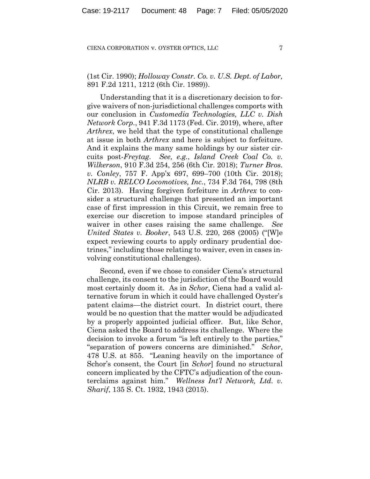(1st Cir. 1990); *Holloway Constr. Co. v. U.S. Dept. of Labor,* 891 F.2d 1211, 1212 (6th Cir. 1989)).

Understanding that it is a discretionary decision to forgive waivers of non-jurisdictional challenges comports with our conclusion in *Customedia Technologies, LLC v. Dish Network Corp.*, 941 F.3d 1173 (Fed. Cir. 2019), where, after *Arthrex*, we held that the type of constitutional challenge at issue in both *Arthrex* and here is subject to forfeiture. And it explains the many same holdings by our sister circuits post-*Freytag*. *See, e.g.*, *Island Creek Coal Co. v. Wilkerson*, 910 F.3d 254, 256 (6th Cir. 2018); *Turner Bros. v. Conley*, 757 F. App'x 697, 699–700 (10th Cir. 2018); *NLRB v. RELCO Locomotives, Inc.*, 734 F.3d 764, 798 (8th Cir. 2013). Having forgiven forfeiture in *Arthrex* to consider a structural challenge that presented an important case of first impression in this Circuit, we remain free to exercise our discretion to impose standard principles of waiver in other cases raising the same challenge. *See United States v. Booker*, 543 U.S. 220, 268 (2005) ("[W]e expect reviewing courts to apply ordinary prudential doctrines," including those relating to waiver, even in cases involving constitutional challenges).

Second, even if we chose to consider Ciena's structural challenge, its consent to the jurisdiction of the Board would most certainly doom it. As in *Schor*, Ciena had a valid alternative forum in which it could have challenged Oyster's patent claims—the district court. In district court, there would be no question that the matter would be adjudicated by a properly appointed judicial officer. But, like Schor, Ciena asked the Board to address its challenge. Where the decision to invoke a forum "is left entirely to the parties," "separation of powers concerns are diminished." *Schor*, 478 U.S. at 855. "Leaning heavily on the importance of Schor's consent, the Court [in *Schor*] found no structural concern implicated by the CFTC's adjudication of the counterclaims against him." *Wellness Int'l Network, Ltd. v. Sharif*, 135 S. Ct. 1932, 1943 (2015).